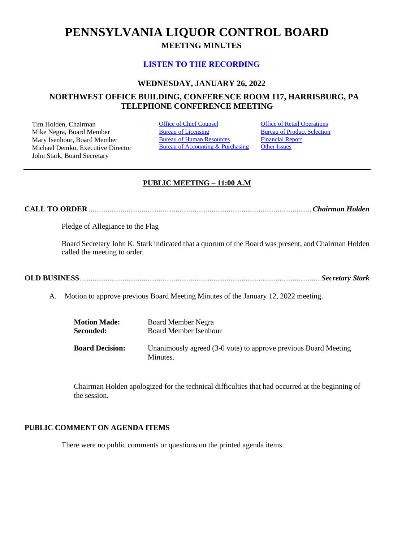# **PENNSYLVANIA LIQUOR CONTROL BOARD MEETING MINUTES**

# **[LISTEN TO THE RECORDING](https://youtu.be/SF8RP8-PVTI)**

# **WEDNESDAY, JANUARY 26, 2022**

# **NORTHWEST OFFICE BUILDING, CONFERENCE ROOM 117, HARRISBURG, PA TELEPHONE CONFERENCE MEETING**

Tim Holden, Chairman **[Office of Chief Counsel](#page-1-0)** Office [of Retail Operations](#page-9-0)<br>
Mike Negra. Board Member **Bureau of Licensing** Bureau of Product Selection Mike Negra, Board Member Mary Isenhour, Board Member Michael Demko, Executive Director John Stark, Board Secretary

[Bureau of Human Resources](#page-7-0) Bureau of Accounting & Purchasing [Financial Report](#page-8-0) **[Other Issues](#page-10-0)** 

# **PUBLIC MEETING – 11:00 A.M**

**CALL TO ORDER** ......................................................................................................................*Chairman Holden*

Pledge of Allegiance to the Flag

Board Secretary John K. Stark indicated that a quorum of the Board was present, and Chairman Holden called the meeting to order.

|--|

A. Motion to approve previous Board Meeting Minutes of the January 12, 2022 meeting.

| <b>Motion Made:</b>    | <b>Board Member Negra</b>                                                   |
|------------------------|-----------------------------------------------------------------------------|
| Seconded:              | <b>Board Member Isenhour</b>                                                |
| <b>Board Decision:</b> | Unanimously agreed (3-0 vote) to approve previous Board Meeting<br>Minutes. |

Chairman Holden apologized for the technical difficulties that had occurred at the beginning of the session.

# **PUBLIC COMMENT ON AGENDA ITEMS**

There were no public comments or questions on the printed agenda items.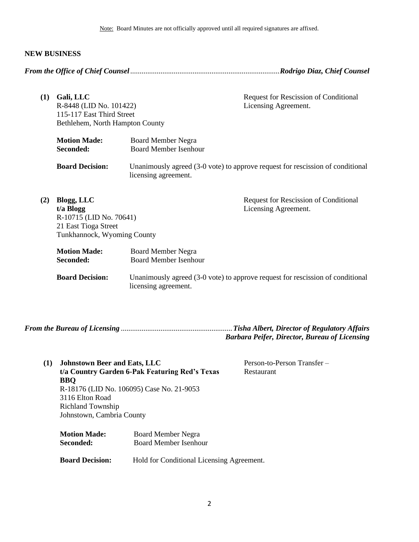Note: Board Minutes are not officially approved until all required signatures are affixed.

#### **NEW BUSINESS**

<span id="page-1-0"></span>*From the Office of Chief Counsel*...............................................................................*Rodrigo Diaz, Chief Counsel*

**(1) Gali, LLC** R-8448 (LID No. 101422) 115-117 East Third Street Bethlehem, North Hampton County Request for Rescission of Conditional Licensing Agreement. **Motion Made:** Board Member Negra **Seconded:** Board Member Isenhour **Board Decision:** Unanimously agreed (3-0 vote) to approve request for rescission of conditional licensing agreement. **(2) Blogg, LLC t/a Blogg** R-10715 (LID No. 70641) 21 East Tioga Street Tunkhannock, Wyoming County Request for Rescission of Conditional Licensing Agreement. **Motion Made:** Board Member Negra<br> **Seconded:** Board Member Isenho **Seconded:** Board Member Isenhour **Board Decision:** Unanimously agreed (3-0 vote) to approve request for rescission of conditional licensing agreement.

<span id="page-1-1"></span>*From the Bureau of Licensing* ...........................................................*Tisha Albert, Director of Regulatory Affairs Barbara Peifer, Director, Bureau of Licensing*

- **(1) Johnstown Beer and Eats, LLC t/a Country Garden 6-Pak Featuring Red's Texas BBQ** R-18176 (LID No. 106095) Case No. 21-9053 3116 Elton Road Richland Township Johnstown, Cambria County Person-to-Person Transfer – Restaurant **Motion Made:** Board Member Negra **Seconded:** Board Member Isenhour
	- **Board Decision:** Hold for Conditional Licensing Agreement.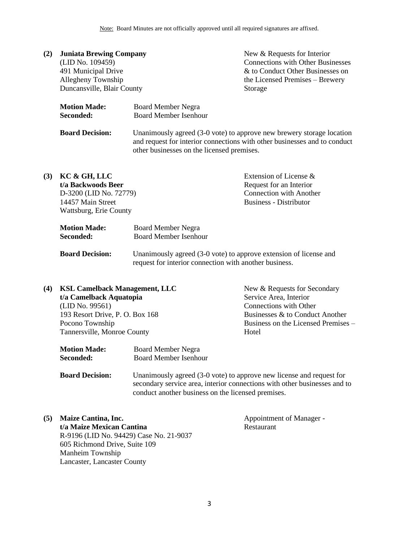| (2) | <b>Juniata Brewing Company</b>   |                                                           | New & Requests for Interior                                                                                                                        |
|-----|----------------------------------|-----------------------------------------------------------|----------------------------------------------------------------------------------------------------------------------------------------------------|
|     | (LID No. 109459)                 |                                                           | <b>Connections with Other Businesses</b>                                                                                                           |
|     | 491 Municipal Drive              |                                                           | & to Conduct Other Businesses on                                                                                                                   |
|     | Allegheny Township               |                                                           | the Licensed Premises – Brewery                                                                                                                    |
|     | Duncansville, Blair County       |                                                           | Storage                                                                                                                                            |
|     | <b>Motion Made:</b><br>Seconded: | <b>Board Member Negra</b><br><b>Board Member Isenhour</b> |                                                                                                                                                    |
|     | <b>Board Decision:</b>           | other businesses on the licensed premises.                | Unanimously agreed (3-0 vote) to approve new brewery storage location<br>and request for interior connections with other businesses and to conduct |

| (3) | KC & GH, LLC           |                              | Extension of License &         |
|-----|------------------------|------------------------------|--------------------------------|
|     | t/a Backwoods Beer     |                              | Request for an Interior        |
|     | D-3200 (LID No. 72779) |                              | <b>Connection with Another</b> |
|     | 14457 Main Street      |                              | <b>Business - Distributor</b>  |
|     | Wattsburg, Erie County |                              |                                |
|     | <b>Motion Made:</b>    | <b>Board Member Negra</b>    |                                |
|     | Seconded:              | <b>Board Member Isenhour</b> |                                |

**Board Decision:** Unanimously agreed (3-0 vote) to approve extension of license and request for interior connection with another business.

| (4) | <b>KSL Camelback Management, LLC</b> | New & Requests for Secondary        |
|-----|--------------------------------------|-------------------------------------|
|     | t/a Camelback Aquatopia              | Service Area, Interior              |
|     | (LID No. 99561)                      | Connections with Other              |
|     | 193 Resort Drive, P. O. Box 168      | Businesses & to Conduct Another     |
|     | Pocono Township                      | Business on the Licensed Premises – |
|     | Tannersville, Monroe County          | Hotel                               |
|     |                                      |                                     |
|     | Motion Mode<br>Doord Mambor Nagro    |                                     |

**Motion Made:** Board Member Negra **Seconded:** Board Member Isenhour

**Board Decision:** Unanimously agreed (3-0 vote) to approve new license and request for secondary service area, interior connections with other businesses and to conduct another business on the licensed premises.

**(5) Maize Cantina, Inc. t/a Maize Mexican Cantina** R-9196 (LID No. 94429) Case No. 21-9037 605 Richmond Drive, Suite 109 Manheim Township Lancaster, Lancaster County

Appointment of Manager - Restaurant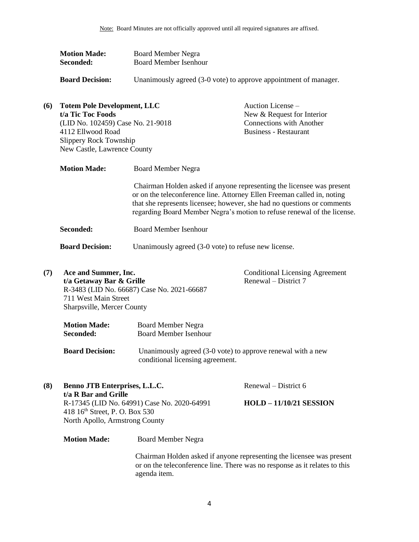| <b>Motion Made:</b> | <b>Board Member Negra</b>    |
|---------------------|------------------------------|
| Seconded:           | <b>Board Member Isenhour</b> |

**Board Decision:** Unanimously agreed (3-0 vote) to approve appointment of manager.

| (6) | <b>Totem Pole Development, LLC</b><br>t/a Tic Toc Foods<br>(LID No. 102459) Case No. 21-9018<br>4112 Ellwood Road<br>Slippery Rock Township<br>New Castle, Lawrence County |                           | Auction License –<br>New & Request for Interior<br><b>Connections with Another</b><br><b>Business - Restaurant</b>                                                                                                                                                                                     |
|-----|----------------------------------------------------------------------------------------------------------------------------------------------------------------------------|---------------------------|--------------------------------------------------------------------------------------------------------------------------------------------------------------------------------------------------------------------------------------------------------------------------------------------------------|
|     | <b>Motion Made:</b>                                                                                                                                                        | <b>Board Member Negra</b> |                                                                                                                                                                                                                                                                                                        |
|     |                                                                                                                                                                            |                           | Chairman Holden asked if anyone representing the licensee was present<br>or on the teleconference line. Attorney Ellen Freeman called in, noting<br>that she represents licensee; however, she had no questions or comments<br>regarding Board Member Negra's motion to refuse renewal of the license. |

**Seconded:** Board Member Isenhour

**Board Decision:** Unanimously agreed (3-0 vote) to refuse new license.

**(7) Ace and Summer, Inc. t/a Getaway Bar & Grille** R-3483 (LID No. 66687) Case No. 2021-66687 711 West Main Street Sharpsville, Mercer County Conditional Licensing Agreement Renewal – District 7

| <b>Motion Made:</b> | Board Member Negra           |
|---------------------|------------------------------|
| Seconded:           | <b>Board Member Isenhour</b> |

**Board Decision:** Unanimously agreed (3-0 vote) to approve renewal with a new conditional licensing agreement.

**(8) Benno JTB Enterprises, L.L.C. t/a R Bar and Grille** R-17345 (LID No. 64991) Case No. 2020-64991 418 16th Street, P. O. Box 530 North Apollo, Armstrong County

Renewal – District 6

**HOLD – 11/10/21 SESSION**

**Motion Made:** Board Member Negra

Chairman Holden asked if anyone representing the licensee was present or on the teleconference line. There was no response as it relates to this agenda item.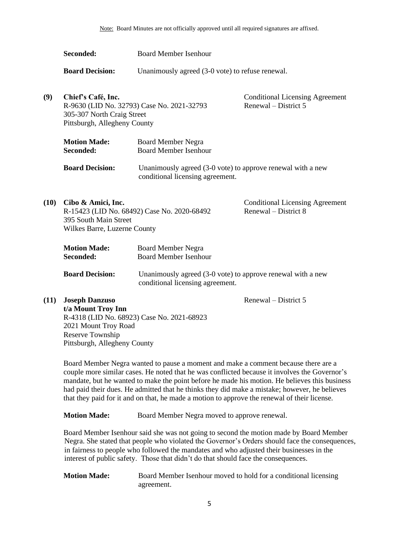|      | Seconded:                                                                        | <b>Board Member Isenhour</b>                                                                    |                                                                |
|------|----------------------------------------------------------------------------------|-------------------------------------------------------------------------------------------------|----------------------------------------------------------------|
|      | <b>Board Decision:</b>                                                           | Unanimously agreed (3-0 vote) to refuse renewal.                                                |                                                                |
| (9)  | Chief's Café, Inc.<br>305-307 North Craig Street<br>Pittsburgh, Allegheny County | R-9630 (LID No. 32793) Case No. 2021-32793                                                      | <b>Conditional Licensing Agreement</b><br>Renewal – District 5 |
|      | <b>Motion Made:</b><br>Seconded:                                                 | <b>Board Member Negra</b><br><b>Board Member Isenhour</b>                                       |                                                                |
|      | <b>Board Decision:</b>                                                           | Unanimously agreed (3-0 vote) to approve renewal with a new<br>conditional licensing agreement. |                                                                |
| (10) | Cibo & Amici, Inc.<br>395 South Main Street<br>Wilkes Barre, Luzerne County      | R-15423 (LID No. 68492) Case No. 2020-68492                                                     | <b>Conditional Licensing Agreement</b><br>Renewal – District 8 |
|      | <b>Motion Made:</b><br>Seconded:                                                 | <b>Board Member Negra</b><br><b>Board Member Isenhour</b>                                       |                                                                |
|      | <b>Board Decision:</b>                                                           | Unanimously agreed (3-0 vote) to approve renewal with a new<br>conditional licensing agreement. |                                                                |
| (11) | <b>Joseph Danzuso</b><br>t/a Mount Troy Inn                                      |                                                                                                 | Renewal – District 5                                           |

R-4318 (LID No. 68923) Case No. 2021-68923 2021 Mount Troy Road Reserve Township Pittsburgh, Allegheny County

Board Member Negra wanted to pause a moment and make a comment because there are a couple more similar cases. He noted that he was conflicted because it involves the Governor's mandate, but he wanted to make the point before he made his motion. He believes this business had paid their dues. He admitted that he thinks they did make a mistake; however, he believes that they paid for it and on that, he made a motion to approve the renewal of their license.

**Motion Made:** Board Member Negra moved to approve renewal.

Board Member Isenhour said she was not going to second the motion made by Board Member Negra. She stated that people who violated the Governor's Orders should face the consequences, in fairness to people who followed the mandates and who adjusted their businesses in the interest of public safety. Those that didn't do that should face the consequences.

**Motion Made:** Board Member Isenhour moved to hold for a conditional licensing agreement.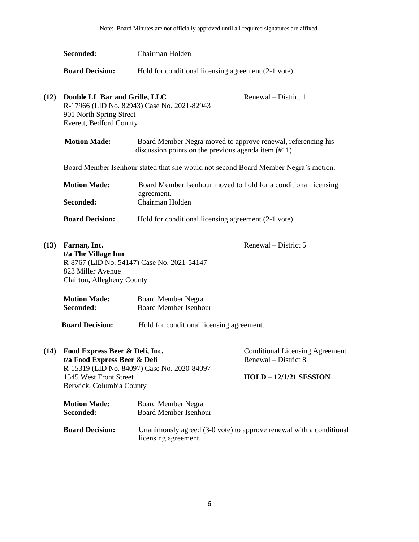|      | Seconded:                                                                                                            | Chairman Holden                                                                                                          |                                                                                                 |
|------|----------------------------------------------------------------------------------------------------------------------|--------------------------------------------------------------------------------------------------------------------------|-------------------------------------------------------------------------------------------------|
|      | <b>Board Decision:</b>                                                                                               | Hold for conditional licensing agreement (2-1 vote).                                                                     |                                                                                                 |
| (12) | Double LL Bar and Grille, LLC<br>901 North Spring Street<br>Everett, Bedford County                                  | R-17966 (LID No. 82943) Case No. 2021-82943                                                                              | Renewal – District 1                                                                            |
|      | <b>Motion Made:</b>                                                                                                  | Board Member Negra moved to approve renewal, referencing his<br>discussion points on the previous agenda item $(\#11)$ . |                                                                                                 |
|      |                                                                                                                      | Board Member Isenhour stated that she would not second Board Member Negra's motion.                                      |                                                                                                 |
|      | <b>Motion Made:</b><br>Seconded:                                                                                     | Board Member Isenhour moved to hold for a conditional licensing<br>agreement.<br>Chairman Holden                         |                                                                                                 |
|      | <b>Board Decision:</b>                                                                                               | Hold for conditional licensing agreement (2-1 vote).                                                                     |                                                                                                 |
| (13) | Farnan, Inc.<br>t/a The Village Inn<br>823 Miller Avenue<br>Clairton, Allegheny County                               | R-8767 (LID No. 54147) Case No. 2021-54147                                                                               | Renewal – District 5                                                                            |
|      | <b>Motion Made:</b><br>Seconded:                                                                                     | <b>Board Member Negra</b><br><b>Board Member Isenhour</b>                                                                |                                                                                                 |
|      | <b>Board Decision:</b>                                                                                               | Hold for conditional licensing agreement.                                                                                |                                                                                                 |
| (14) | Food Express Beer & Deli, Inc.<br>t/a Food Express Beer & Deli<br>1545 West Front Street<br>Berwick, Columbia County | R-15319 (LID No. 84097) Case No. 2020-84097                                                                              | <b>Conditional Licensing Agreement</b><br>Renewal – District 8<br><b>HOLD - 12/1/21 SESSION</b> |
|      | <b>Motion Made:</b><br>Seconded:                                                                                     | <b>Board Member Negra</b><br><b>Board Member Isenhour</b>                                                                |                                                                                                 |
|      | <b>Board Decision:</b>                                                                                               | licensing agreement.                                                                                                     | Unanimously agreed (3-0 vote) to approve renewal with a conditional                             |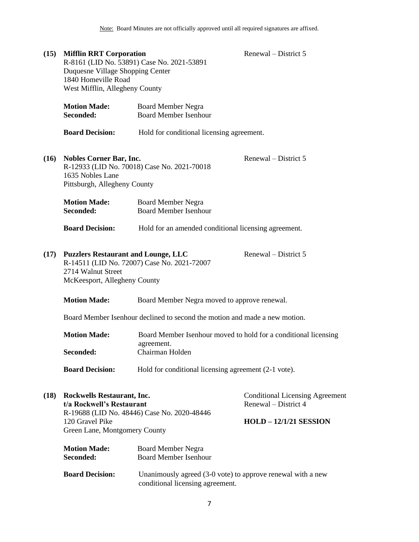| (15) | <b>Mifflin RRT Corporation</b><br>Duquesne Village Shopping Center<br>1840 Homeville Road<br>West Mifflin, Allegheny County                                             | R-8161 (LID No. 53891) Case No. 2021-53891                                                      | Renewal – District 5                                           |
|------|-------------------------------------------------------------------------------------------------------------------------------------------------------------------------|-------------------------------------------------------------------------------------------------|----------------------------------------------------------------|
|      | <b>Motion Made:</b><br>Seconded:                                                                                                                                        | <b>Board Member Negra</b><br><b>Board Member Isenhour</b>                                       |                                                                |
|      | <b>Board Decision:</b>                                                                                                                                                  | Hold for conditional licensing agreement.                                                       |                                                                |
| (16) | <b>Nobles Corner Bar, Inc.</b><br>1635 Nobles Lane<br>Pittsburgh, Allegheny County                                                                                      | R-12933 (LID No. 70018) Case No. 2021-70018                                                     | Renewal – District 5                                           |
|      | <b>Motion Made:</b><br>Seconded:                                                                                                                                        | <b>Board Member Negra</b><br><b>Board Member Isenhour</b>                                       |                                                                |
|      | <b>Board Decision:</b>                                                                                                                                                  | Hold for an amended conditional licensing agreement.                                            |                                                                |
| (17) | Renewal – District 5<br><b>Puzzlers Restaurant and Lounge, LLC</b><br>R-14511 (LID No. 72007) Case No. 2021-72007<br>2714 Walnut Street<br>McKeesport, Allegheny County |                                                                                                 |                                                                |
|      | <b>Motion Made:</b>                                                                                                                                                     | Board Member Negra moved to approve renewal.                                                    |                                                                |
|      |                                                                                                                                                                         | Board Member Isenhour declined to second the motion and made a new motion.                      |                                                                |
|      | <b>Motion Made:</b>                                                                                                                                                     | Board Member Isenhour moved to hold for a conditional licensing<br>agreement.                   |                                                                |
|      | Seconded:                                                                                                                                                               | Chairman Holden                                                                                 |                                                                |
|      | <b>Board Decision:</b>                                                                                                                                                  | Hold for conditional licensing agreement (2-1 vote).                                            |                                                                |
| (18) | Rockwells Restaurant, Inc.<br>t/a Rockwell's Restaurant                                                                                                                 | R-19688 (LID No. 48446) Case No. 2020-48446                                                     | <b>Conditional Licensing Agreement</b><br>Renewal – District 4 |
|      | 120 Gravel Pike<br>Green Lane, Montgomery County                                                                                                                        |                                                                                                 | <b>HOLD - 12/1/21 SESSION</b>                                  |
|      | <b>Motion Made:</b><br>Seconded:                                                                                                                                        | <b>Board Member Negra</b><br><b>Board Member Isenhour</b>                                       |                                                                |
|      | <b>Board Decision:</b>                                                                                                                                                  | Unanimously agreed (3-0 vote) to approve renewal with a new<br>conditional licensing agreement. |                                                                |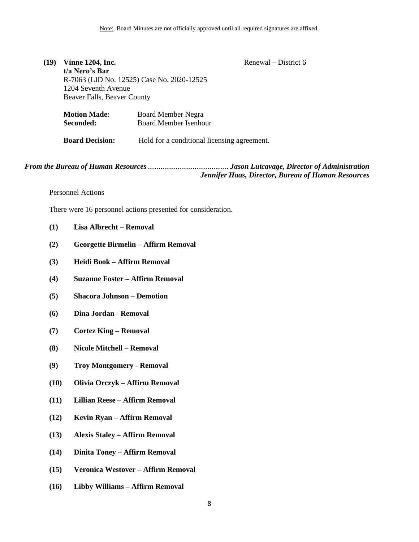#### Renewal – District 6

**(19) Vinne 1204, Inc. t/a Nero's Bar** R-7063 (LID No. 12525) Case No. 2020-12525 1204 Seventh Avenue Beaver Falls, Beaver County

| <b>Motion Made:</b>                       | <b>Board Member Negra</b>                   |  |
|-------------------------------------------|---------------------------------------------|--|
| Seconded:<br><b>Board Member Isenhour</b> |                                             |  |
|                                           |                                             |  |
| <b>Board Decision:</b>                    | Hold for a conditional licensing agreement. |  |

*From the Bureau of Human Resources*........................................... *Jason Lutcavage, Director of Administration Jennifer Haas, Director, Bureau of Human Resources*

<span id="page-7-0"></span>Personnel Actions

There were 16 personnel actions presented for consideration.

- **(1) Lisa Albrecht – Removal**
- **(2) Georgette Birmelin – Affirm Removal**
- **(3) Heidi Book – Affirm Removal**
- **(4) Suzanne Foster – Affirm Removal**
- **(5) Shacora Johnson – Demotion**
- **(6) Dina Jordan - Removal**
- **(7) Cortez King – Removal**
- **(8) Nicole Mitchell – Removal**
- **(9) Troy Montgomery - Removal**
- **(10) Olivia Orczyk – Affirm Removal**
- **(11) Lillian Reese – Affirm Removal**
- **(12) Kevin Ryan – Affirm Removal**
- **(13) Alexis Staley – Affirm Removal**
- **(14) Dinita Toney – Affirm Removal**
- **(15) Veronica Westover – Affirm Removal**
- **(16) Libby Williams – Affirm Removal**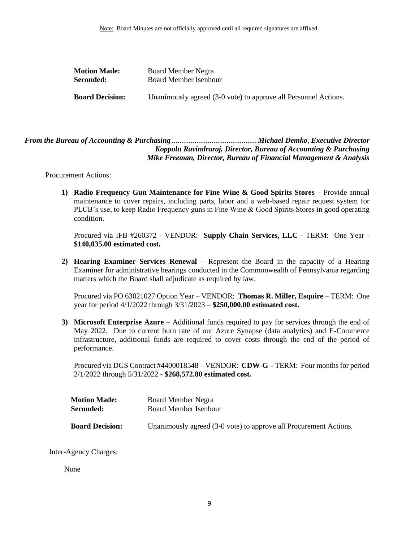| <b>Motion Made:</b>    | Board Member Negra                                              |
|------------------------|-----------------------------------------------------------------|
| <b>Seconded:</b>       | Board Member Isenhour                                           |
| <b>Board Decision:</b> | Unanimously agreed (3-0 vote) to approve all Personnel Actions. |

# <span id="page-8-0"></span>*From the Bureau of Accounting & Purchasing* .............................................*Michael Demko*, *Executive Director Koppolu Ravindraraj, Director, Bureau of Accounting & Purchasing Mike Freeman, Director, Bureau of Financial Management & Analysis*

Procurement Actions:

**1) Radio Frequency Gun Maintenance for Fine Wine & Good Spirits Stores –** Provide annual maintenance to cover repairs, including parts, labor and a web-based repair request system for PLCB's use, to keep Radio Frequency guns in Fine Wine & Good Spirits Stores in good operating condition.

Procured via IFB #260372 - VENDOR: **Supply Chain Services, LLC -** TERM: One Year - **\$140,035.00 estimated cost.**

**2) Hearing Examiner Services Renewal** – Represent the Board in the capacity of a Hearing Examiner for administrative hearings conducted in the Commonwealth of Pennsylvania regarding matters which the Board shall adjudicate as required by law.

Procured via PO 63021027 Option Year – VENDOR: **Thomas R. Miller, Esquire** – TERM: One year for period 4/1/2022 through 3/31/2023 – **\$250,000.00 estimated cost.** 

**3) Microsoft Enterprise Azure –** Additional funds required to pay for services through the end of May 2022. Due to current burn rate of our Azure Synapse (data analytics) and E-Commerce infrastructure, additional funds are required to cover costs through the end of the period of performance.

Procured via DGS Contract #4400018548 – VENDOR: **CDW-G –** TERM: Four months for period 2/1/2022 through 5/31/2022 - **\$268,572.80 estimated cost.**

| <b>Motion Made:</b>    | Board Member Negra                                                |  |
|------------------------|-------------------------------------------------------------------|--|
| Seconded:              | <b>Board Member Isenhour</b>                                      |  |
|                        |                                                                   |  |
| <b>Board Decision:</b> | Unanimously agreed (3-0 vote) to approve all Procurement Actions. |  |

Inter-Agency Charges:

None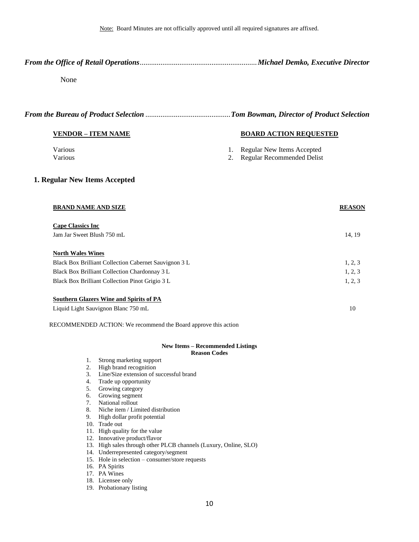<span id="page-9-0"></span>*From the Office of Retail Operations*..............................................................*Michael Demko, Executive Director*

#### None

#### *From the Bureau of Product Selection* .............................................*Tom Bowman, Director of Product Selection*

#### **VENDOR – ITEM NAME BOARD ACTION REQUESTED**

- Various **1.** Regular New Items Accepted
- Various 2. Regular Recommended Delist

#### **1. Regular New Items Accepted**

| <b>BRAND NAME AND SIZE</b>                            | <b>REASON</b> |
|-------------------------------------------------------|---------------|
| <b>Cape Classics Inc</b>                              |               |
| Jam Jar Sweet Blush 750 mL                            | 14, 19        |
| <b>North Wales Wines</b>                              |               |
| Black Box Brilliant Collection Cabernet Sauvignon 3 L | 1, 2, 3       |
| Black Box Brilliant Collection Chardonnay 3 L         | 1, 2, 3       |
| Black Box Brilliant Collection Pinot Grigio 3 L       | 1, 2, 3       |
|                                                       |               |

| Southern Glazers Wine and Spirits of PA |  |
|-----------------------------------------|--|
| Liquid Light Sauvignon Blanc 750 mL     |  |

RECOMMENDED ACTION: We recommend the Board approve this action

#### **New Items – Recommended Listings Reason Codes**

- 1. Strong marketing support
- 2. High brand recognition
- 3. Line/Size extension of successful brand
- 4. Trade up opportunity

 $\overline{S}$  **Southern Glazers Wine and Spirits of Pa** 

- 5. Growing category
- 6. Growing segment
- 7. National rollout
- 8. Niche item / Limited distribution
- 9. High dollar profit potential
- 10. Trade out
- 11. High quality for the value
- 12. Innovative product/flavor
- 13. High sales through other PLCB channels (Luxury, Online, SLO)
- 14. Underrepresented category/segment
- 15. Hole in selection consumer/store requests
- 16. PA Spirits
- 17. PA Wines
- 18. Licensee only
- 19. Probationary listing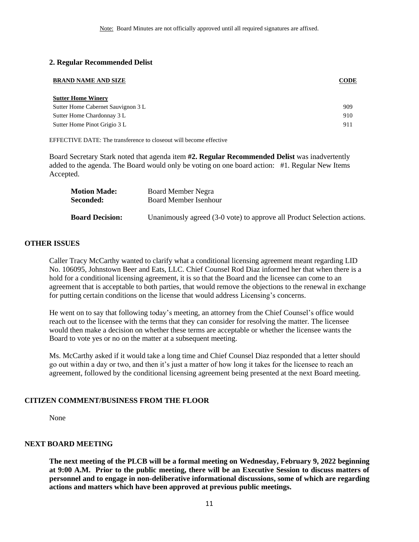#### **2. Regular Recommended Delist**

| <b>BRAND NAME AND SIZE</b>         | CODE |
|------------------------------------|------|
| <b>Sutter Home Winery</b>          |      |
| Sutter Home Cabernet Sauvignon 3 L | 909  |
| Sutter Home Chardonnay 3 L         | 910  |
| Sutter Home Pinot Grigio 3 L       | 911  |
|                                    |      |

EFFECTIVE DATE: The transference to closeout will become effective

Board Secretary Stark noted that agenda item **#2. Regular Recommended Delist** was inadvertently added to the agenda. The Board would only be voting on one board action: #1. Regular New Items Accepted.

| <b>Motion Made:</b><br>Seconded: | Board Member Negra<br>Board Member Isenhour                             |
|----------------------------------|-------------------------------------------------------------------------|
|                                  |                                                                         |
| <b>Board Decision:</b>           | Unanimously agreed (3-0 vote) to approve all Product Selection actions. |

#### <span id="page-10-0"></span>**OTHER ISSUES**

Caller Tracy McCarthy wanted to clarify what a conditional licensing agreement meant regarding LID No. 106095, Johnstown Beer and Eats, LLC. Chief Counsel Rod Diaz informed her that when there is a hold for a conditional licensing agreement, it is so that the Board and the licensee can come to an agreement that is acceptable to both parties, that would remove the objections to the renewal in exchange for putting certain conditions on the license that would address Licensing's concerns.

He went on to say that following today's meeting, an attorney from the Chief Counsel's office would reach out to the licensee with the terms that they can consider for resolving the matter. The licensee would then make a decision on whether these terms are acceptable or whether the licensee wants the Board to vote yes or no on the matter at a subsequent meeting.

Ms. McCarthy asked if it would take a long time and Chief Counsel Diaz responded that a letter should go out within a day or two, and then it's just a matter of how long it takes for the licensee to reach an agreement, followed by the conditional licensing agreement being presented at the next Board meeting.

#### **CITIZEN COMMENT/BUSINESS FROM THE FLOOR**

None

#### **NEXT BOARD MEETING**

**The next meeting of the PLCB will be a formal meeting on Wednesday, February 9, 2022 beginning at 9:00 A.M. Prior to the public meeting, there will be an Executive Session to discuss matters of personnel and to engage in non-deliberative informational discussions, some of which are regarding actions and matters which have been approved at previous public meetings.**